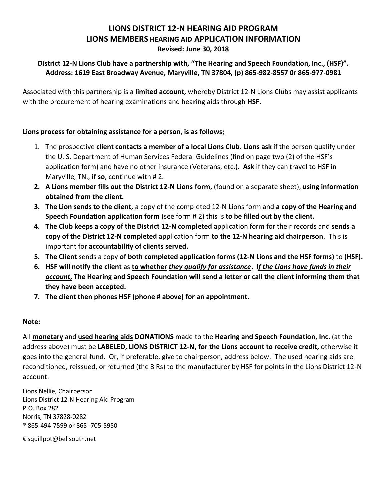# **LIONS DISTRICT 12-N HEARING AID PROGRAM LIONS MEMBERS HEARING AID APPLICATION INFORMATION**

#### **Revised: June 30, 2018**

## **District 12-N Lions Club have a partnership with, "The Hearing and Speech Foundation, Inc., (HSF)". Address: 1619 East Broadway Avenue, Maryville, TN 37804, (p) 865-982-8557 0r 865-977-0981**

Associated with this partnership is a **limited account,** whereby District 12-N Lions Clubs may assist applicants with the procurement of hearing examinations and hearing aids through **HSF**.

### **Lions process for obtaining assistance for a person, is as follows;**

- 1. The prospective **client contacts a member of a local Lions Club. Lions ask** if the person qualify under the U. S. Department of Human Services Federal Guidelines (find on page two (2) of the HSF's application form) and have no other insurance (Veterans, etc.). **Ask** if they can travel to HSF in Maryville, TN., **if so**, continue with # 2.
- **2. A Lions member fills out the District 12-N Lions form,** (found on a separate sheet), **using information obtained from the client.**
- **3. The Lion sends to the client,** a copy of the completed 12-N Lions form and **a copy of the Hearing and Speech Foundation application form** (see form # 2) this is **to be filled out by the client.**
- **4. The Club keeps a copy of the District 12-N completed** application form for their records and **sends a copy of the District 12-N completed** application form **to the 12-N hearing aid chairperson**. This is important for **accountability of clients served.**
- **5. The Client** sends a copy **of both completed application forms (12-N Lions and the HSF forms)** to **(HSF).**
- **6. HSF will notify the client** as **to whether** *they qualify for assistance***. I***f the Lions have funds in their account***, The Hearing and Speech Foundation will send a letter or call the client informing them that they have been accepted.**
- **7. The client then phones HSF (phone # above) for an appointment.**

### **Note:**

All **monetary** and **used hearing aids DONATIONS** made to the **Hearing and Speech Foundation, Inc**. (at the address above) must be **LABELED, LIONS DISTRICT 12-N, for the Lions account to receive credit,** otherwise it goes into the general fund. Or, if preferable, give to chairperson, address below. The used hearing aids are reconditioned, reissued, or returned (the 3 Rs) to the manufacturer by HSF for points in the Lions District 12-N account.

Lions Nellie, Chairperson Lions District 12-N Hearing Aid Program P.O. Box 282 Norris, TN 37828-0282 ® 865-494-7599 or 865 -705-5950

€ squillpot@bellsouth.net